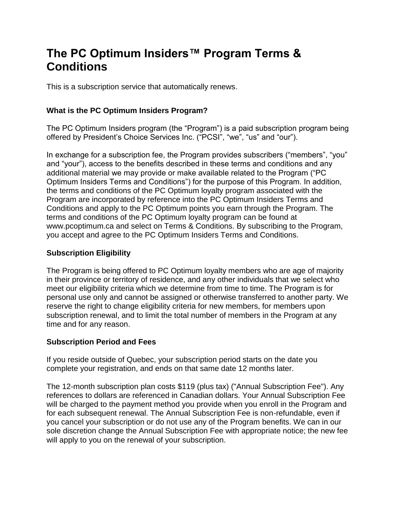# **The PC Optimum Insiders™ Program Terms & Conditions**

This is a subscription service that automatically renews.

## **What is the PC Optimum Insiders Program?**

The PC Optimum Insiders program (the "Program") is a paid subscription program being offered by President's Choice Services Inc. ("PCSI", "we", "us" and "our").

In exchange for a subscription fee, the Program provides subscribers ("members", "you" and "your"), access to the benefits described in these terms and conditions and any additional material we may provide or make available related to the Program ("PC Optimum Insiders Terms and Conditions") for the purpose of this Program. In addition, the terms and conditions of the PC Optimum loyalty program associated with the Program are incorporated by reference into the PC Optimum Insiders Terms and Conditions and apply to the PC Optimum points you earn through the Program. The terms and conditions of the PC Optimum loyalty program can be found at www.pcoptimum.ca and select on Terms & Conditions. By subscribing to the Program, you accept and agree to the PC Optimum Insiders Terms and Conditions.

## **Subscription Eligibility**

The Program is being offered to PC Optimum loyalty members who are age of majority in their province or territory of residence, and any other individuals that we select who meet our eligibility criteria which we determine from time to time. The Program is for personal use only and cannot be assigned or otherwise transferred to another party. We reserve the right to change eligibility criteria for new members, for members upon subscription renewal, and to limit the total number of members in the Program at any time and for any reason.

#### **Subscription Period and Fees**

If you reside outside of Quebec, your subscription period starts on the date you complete your registration, and ends on that same date 12 months later.

The 12-month subscription plan costs \$119 (plus tax) ("Annual Subscription Fee"). Any references to dollars are referenced in Canadian dollars. Your Annual Subscription Fee will be charged to the payment method you provide when you enroll in the Program and for each subsequent renewal. The Annual Subscription Fee is non-refundable, even if you cancel your subscription or do not use any of the Program benefits. We can in our sole discretion change the Annual Subscription Fee with appropriate notice; the new fee will apply to you on the renewal of your subscription.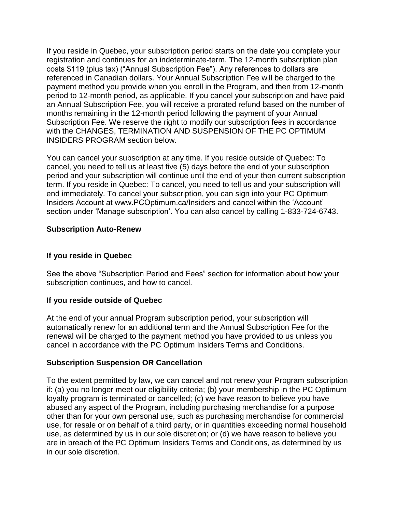If you reside in Quebec, your subscription period starts on the date you complete your registration and continues for an indeterminate-term. The 12-month subscription plan costs \$119 (plus tax) ("Annual Subscription Fee"). Any references to dollars are referenced in Canadian dollars. Your Annual Subscription Fee will be charged to the payment method you provide when you enroll in the Program, and then from 12-month period to 12-month period, as applicable. If you cancel your subscription and have paid an Annual Subscription Fee, you will receive a prorated refund based on the number of months remaining in the 12-month period following the payment of your Annual Subscription Fee. We reserve the right to modify our subscription fees in accordance with the CHANGES, TERMINATION AND SUSPENSION OF THE PC OPTIMUM INSIDERS PROGRAM section below.

You can cancel your subscription at any time. If you reside outside of Quebec: To cancel, you need to tell us at least five (5) days before the end of your subscription period and your subscription will continue until the end of your then current subscription term. If you reside in Quebec: To cancel, you need to tell us and your subscription will end immediately. To cancel your subscription, you can sign into your PC Optimum Insiders Account at www.PCOptimum.ca/Insiders and cancel within the 'Account' section under 'Manage subscription'. You can also cancel by calling 1-833-724-6743.

## **Subscription Auto-Renew**

### **If you reside in Quebec**

See the above "Subscription Period and Fees" section for information about how your subscription continues, and how to cancel.

#### **If you reside outside of Quebec**

At the end of your annual Program subscription period, your subscription will automatically renew for an additional term and the Annual Subscription Fee for the renewal will be charged to the payment method you have provided to us unless you cancel in accordance with the PC Optimum Insiders Terms and Conditions.

#### **Subscription Suspension OR Cancellation**

To the extent permitted by law, we can cancel and not renew your Program subscription if: (a) you no longer meet our eligibility criteria; (b) your membership in the PC Optimum loyalty program is terminated or cancelled; (c) we have reason to believe you have abused any aspect of the Program, including purchasing merchandise for a purpose other than for your own personal use, such as purchasing merchandise for commercial use, for resale or on behalf of a third party, or in quantities exceeding normal household use, as determined by us in our sole discretion; or (d) we have reason to believe you are in breach of the PC Optimum Insiders Terms and Conditions, as determined by us in our sole discretion.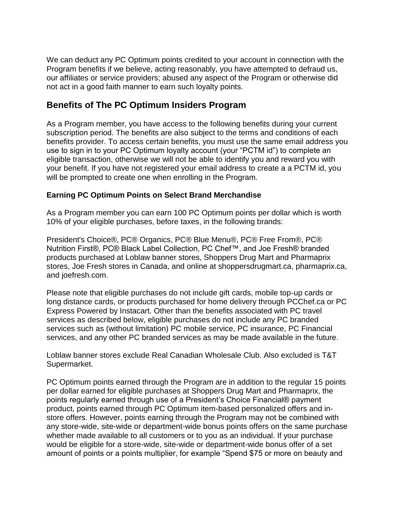We can deduct any PC Optimum points credited to your account in connection with the Program benefits if we believe, acting reasonably, you have attempted to defraud us, our affiliates or service providers; abused any aspect of the Program or otherwise did not act in a good faith manner to earn such loyalty points.

## **Benefits of The PC Optimum Insiders Program**

As a Program member, you have access to the following benefits during your current subscription period. The benefits are also subject to the terms and conditions of each benefits provider. To access certain benefits, you must use the same email address you use to sign in to your PC Optimum loyalty account (your "PCTM id") to complete an eligible transaction, otherwise we will not be able to identify you and reward you with your benefit. If you have not registered your email address to create a a PCTM id, you will be prompted to create one when enrolling in the Program.

## **Earning PC Optimum Points on Select Brand Merchandise**

As a Program member you can earn 100 PC Optimum points per dollar which is worth 10% of your eligible purchases, before taxes, in the following brands:

President's Choice®, PC® Organics, PC® Blue Menu®, PC® Free From®, PC® Nutrition First®, PC® Black Label Collection, PC Chef™, and Joe Fresh® branded products purchased at Loblaw banner stores, Shoppers Drug Mart and Pharmaprix stores, Joe Fresh stores in Canada, and online at shoppersdrugmart.ca, pharmaprix.ca, and joefresh.com.

Please note that eligible purchases do not include gift cards, mobile top-up cards or long distance cards, or products purchased for home delivery through PCChef.ca or PC Express Powered by Instacart. Other than the benefits associated with PC travel services as described below, eligible purchases do not include any PC branded services such as (without limitation) PC mobile service, PC insurance, PC Financial services, and any other PC branded services as may be made available in the future.

Loblaw banner stores exclude Real Canadian Wholesale Club. Also excluded is T&T Supermarket.

PC Optimum points earned through the Program are in addition to the regular 15 points per dollar earned for eligible purchases at Shoppers Drug Mart and Pharmaprix, the points regularly earned through use of a President's Choice Financial® payment product, points earned through PC Optimum item-based personalized offers and instore offers. However, points earning through the Program may not be combined with any store-wide, site-wide or department-wide bonus points offers on the same purchase whether made available to all customers or to you as an individual. If your purchase would be eligible for a store-wide, site-wide or department-wide bonus offer of a set amount of points or a points multiplier, for example "Spend \$75 or more on beauty and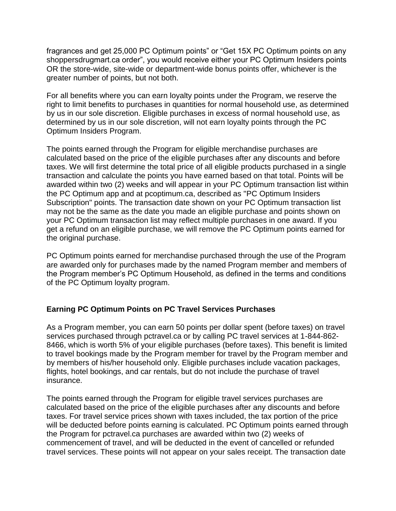fragrances and get 25,000 PC Optimum points" or "Get 15X PC Optimum points on any shoppersdrugmart.ca order", you would receive either your PC Optimum Insiders points OR the store-wide, site-wide or department-wide bonus points offer, whichever is the greater number of points, but not both.

For all benefits where you can earn loyalty points under the Program, we reserve the right to limit benefits to purchases in quantities for normal household use, as determined by us in our sole discretion. Eligible purchases in excess of normal household use, as determined by us in our sole discretion, will not earn loyalty points through the PC Optimum Insiders Program.

The points earned through the Program for eligible merchandise purchases are calculated based on the price of the eligible purchases after any discounts and before taxes. We will first determine the total price of all eligible products purchased in a single transaction and calculate the points you have earned based on that total. Points will be awarded within two (2) weeks and will appear in your PC Optimum transaction list within the PC Optimum app and at pcoptimum.ca, described as "PC Optimum Insiders Subscription" points. The transaction date shown on your PC Optimum transaction list may not be the same as the date you made an eligible purchase and points shown on your PC Optimum transaction list may reflect multiple purchases in one award. If you get a refund on an eligible purchase, we will remove the PC Optimum points earned for the original purchase.

PC Optimum points earned for merchandise purchased through the use of the Program are awarded only for purchases made by the named Program member and members of the Program member's PC Optimum Household, as defined in the terms and conditions of the PC Optimum loyalty program.

## **Earning PC Optimum Points on PC Travel Services Purchases**

As a Program member, you can earn 50 points per dollar spent (before taxes) on travel services purchased through pctravel.ca or by calling PC travel services at 1-844-862- 8466, which is worth 5% of your eligible purchases (before taxes). This benefit is limited to travel bookings made by the Program member for travel by the Program member and by members of his/her household only. Eligible purchases include vacation packages, flights, hotel bookings, and car rentals, but do not include the purchase of travel insurance.

The points earned through the Program for eligible travel services purchases are calculated based on the price of the eligible purchases after any discounts and before taxes. For travel service prices shown with taxes included, the tax portion of the price will be deducted before points earning is calculated. PC Optimum points earned through the Program for pctravel.ca purchases are awarded within two (2) weeks of commencement of travel, and will be deducted in the event of cancelled or refunded travel services. These points will not appear on your sales receipt. The transaction date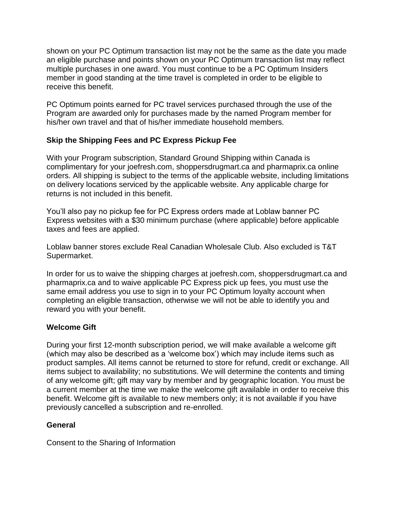shown on your PC Optimum transaction list may not be the same as the date you made an eligible purchase and points shown on your PC Optimum transaction list may reflect multiple purchases in one award. You must continue to be a PC Optimum Insiders member in good standing at the time travel is completed in order to be eligible to receive this benefit.

PC Optimum points earned for PC travel services purchased through the use of the Program are awarded only for purchases made by the named Program member for his/her own travel and that of his/her immediate household members.

## **Skip the Shipping Fees and PC Express Pickup Fee**

With your Program subscription, Standard Ground Shipping within Canada is complimentary for your joefresh.com, shoppersdrugmart.ca and pharmaprix.ca online orders. All shipping is subject to the terms of the applicable website, including limitations on delivery locations serviced by the applicable website. Any applicable charge for returns is not included in this benefit.

You'll also pay no pickup fee for PC Express orders made at Loblaw banner PC Express websites with a \$30 minimum purchase (where applicable) before applicable taxes and fees are applied.

Loblaw banner stores exclude Real Canadian Wholesale Club. Also excluded is T&T Supermarket.

In order for us to waive the shipping charges at joefresh.com, shoppersdrugmart.ca and pharmaprix.ca and to waive applicable PC Express pick up fees, you must use the same email address you use to sign in to your PC Optimum loyalty account when completing an eligible transaction, otherwise we will not be able to identify you and reward you with your benefit.

## **Welcome Gift**

During your first 12-month subscription period, we will make available a welcome gift (which may also be described as a 'welcome box') which may include items such as product samples. All items cannot be returned to store for refund, credit or exchange. All items subject to availability; no substitutions. We will determine the contents and timing of any welcome gift; gift may vary by member and by geographic location. You must be a current member at the time we make the welcome gift available in order to receive this benefit. Welcome gift is available to new members only; it is not available if you have previously cancelled a subscription and re-enrolled.

## **General**

Consent to the Sharing of Information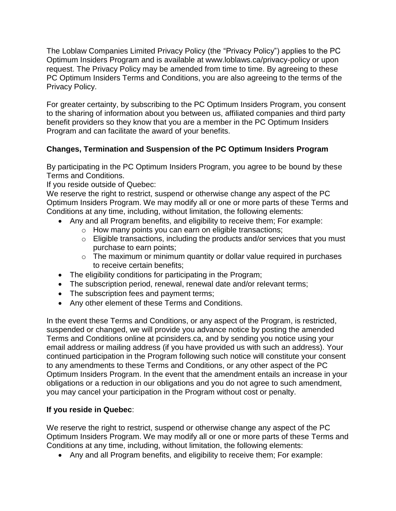The Loblaw Companies Limited Privacy Policy (the "Privacy Policy") applies to the PC Optimum Insiders Program and is available at www.loblaws.ca/privacy-policy or upon request. The Privacy Policy may be amended from time to time. By agreeing to these PC Optimum Insiders Terms and Conditions, you are also agreeing to the terms of the Privacy Policy.

For greater certainty, by subscribing to the PC Optimum Insiders Program, you consent to the sharing of information about you between us, affiliated companies and third party benefit providers so they know that you are a member in the PC Optimum Insiders Program and can facilitate the award of your benefits.

## **Changes, Termination and Suspension of the PC Optimum Insiders Program**

By participating in the PC Optimum Insiders Program, you agree to be bound by these Terms and Conditions.

If you reside outside of Quebec:

We reserve the right to restrict, suspend or otherwise change any aspect of the PC Optimum Insiders Program. We may modify all or one or more parts of these Terms and Conditions at any time, including, without limitation, the following elements:

- Any and all Program benefits, and eligibility to receive them: For example:
	- o How many points you can earn on eligible transactions;
	- o Eligible transactions, including the products and/or services that you must purchase to earn points;
	- o The maximum or minimum quantity or dollar value required in purchases to receive certain benefits;
- The eligibility conditions for participating in the Program;
- The subscription period, renewal, renewal date and/or relevant terms;
- The subscription fees and payment terms;
- Any other element of these Terms and Conditions.

In the event these Terms and Conditions, or any aspect of the Program, is restricted, suspended or changed, we will provide you advance notice by posting the amended Terms and Conditions online at pcinsiders.ca, and by sending you notice using your email address or mailing address (if you have provided us with such an address). Your continued participation in the Program following such notice will constitute your consent to any amendments to these Terms and Conditions, or any other aspect of the PC Optimum Insiders Program. In the event that the amendment entails an increase in your obligations or a reduction in our obligations and you do not agree to such amendment, you may cancel your participation in the Program without cost or penalty.

## **If you reside in Quebec**:

We reserve the right to restrict, suspend or otherwise change any aspect of the PC Optimum Insiders Program. We may modify all or one or more parts of these Terms and Conditions at any time, including, without limitation, the following elements:

• Any and all Program benefits, and eligibility to receive them; For example: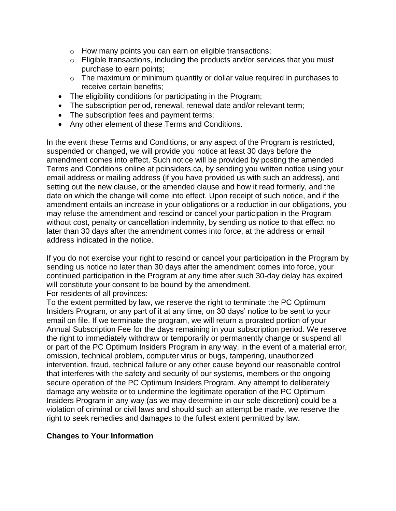- o How many points you can earn on eligible transactions;
- o Eligible transactions, including the products and/or services that you must purchase to earn points;
- $\circ$  The maximum or minimum quantity or dollar value required in purchases to receive certain benefits;
- The eligibility conditions for participating in the Program;
- The subscription period, renewal, renewal date and/or relevant term;
- The subscription fees and payment terms;
- Any other element of these Terms and Conditions.

In the event these Terms and Conditions, or any aspect of the Program is restricted, suspended or changed, we will provide you notice at least 30 days before the amendment comes into effect. Such notice will be provided by posting the amended Terms and Conditions online at pcinsiders.ca, by sending you written notice using your email address or mailing address (if you have provided us with such an address), and setting out the new clause, or the amended clause and how it read formerly, and the date on which the change will come into effect. Upon receipt of such notice, and if the amendment entails an increase in your obligations or a reduction in our obligations, you may refuse the amendment and rescind or cancel your participation in the Program without cost, penalty or cancellation indemnity, by sending us notice to that effect no later than 30 days after the amendment comes into force, at the address or email address indicated in the notice.

If you do not exercise your right to rescind or cancel your participation in the Program by sending us notice no later than 30 days after the amendment comes into force, your continued participation in the Program at any time after such 30-day delay has expired will constitute your consent to be bound by the amendment. For residents of all provinces:

To the extent permitted by law, we reserve the right to terminate the PC Optimum Insiders Program, or any part of it at any time, on 30 days' notice to be sent to your email on file. If we terminate the program, we will return a prorated portion of your Annual Subscription Fee for the days remaining in your subscription period. We reserve the right to immediately withdraw or temporarily or permanently change or suspend all or part of the PC Optimum Insiders Program in any way, in the event of a material error, omission, technical problem, computer virus or bugs, tampering, unauthorized intervention, fraud, technical failure or any other cause beyond our reasonable control that interferes with the safety and security of our systems, members or the ongoing secure operation of the PC Optimum Insiders Program. Any attempt to deliberately damage any website or to undermine the legitimate operation of the PC Optimum Insiders Program in any way (as we may determine in our sole discretion) could be a violation of criminal or civil laws and should such an attempt be made, we reserve the right to seek remedies and damages to the fullest extent permitted by law.

#### **Changes to Your Information**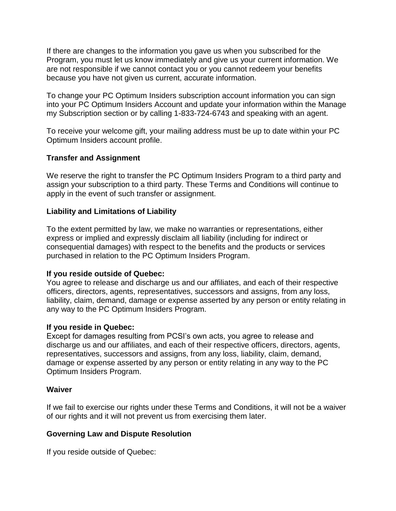If there are changes to the information you gave us when you subscribed for the Program, you must let us know immediately and give us your current information. We are not responsible if we cannot contact you or you cannot redeem your benefits because you have not given us current, accurate information.

To change your PC Optimum Insiders subscription account information you can sign into your PC Optimum Insiders Account and update your information within the Manage my Subscription section or by calling 1-833-724-6743 and speaking with an agent.

To receive your welcome gift, your mailing address must be up to date within your PC Optimum Insiders account profile.

## **Transfer and Assignment**

We reserve the right to transfer the PC Optimum Insiders Program to a third party and assign your subscription to a third party. These Terms and Conditions will continue to apply in the event of such transfer or assignment.

#### **Liability and Limitations of Liability**

To the extent permitted by law, we make no warranties or representations, either express or implied and expressly disclaim all liability (including for indirect or consequential damages) with respect to the benefits and the products or services purchased in relation to the PC Optimum Insiders Program.

#### **If you reside outside of Quebec:**

You agree to release and discharge us and our affiliates, and each of their respective officers, directors, agents, representatives, successors and assigns, from any loss, liability, claim, demand, damage or expense asserted by any person or entity relating in any way to the PC Optimum Insiders Program.

#### **If you reside in Quebec:**

Except for damages resulting from PCSI's own acts, you agree to release and discharge us and our affiliates, and each of their respective officers, directors, agents, representatives, successors and assigns, from any loss, liability, claim, demand, damage or expense asserted by any person or entity relating in any way to the PC Optimum Insiders Program.

#### **Waiver**

If we fail to exercise our rights under these Terms and Conditions, it will not be a waiver of our rights and it will not prevent us from exercising them later.

### **Governing Law and Dispute Resolution**

If you reside outside of Quebec: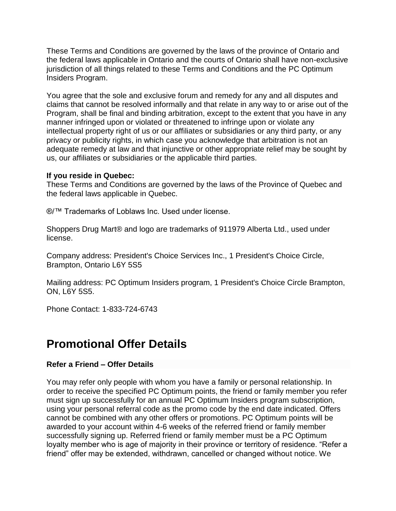These Terms and Conditions are governed by the laws of the province of Ontario and the federal laws applicable in Ontario and the courts of Ontario shall have non-exclusive jurisdiction of all things related to these Terms and Conditions and the PC Optimum Insiders Program.

You agree that the sole and exclusive forum and remedy for any and all disputes and claims that cannot be resolved informally and that relate in any way to or arise out of the Program, shall be final and binding arbitration, except to the extent that you have in any manner infringed upon or violated or threatened to infringe upon or violate any intellectual property right of us or our affiliates or subsidiaries or any third party, or any privacy or publicity rights, in which case you acknowledge that arbitration is not an adequate remedy at law and that injunctive or other appropriate relief may be sought by us, our affiliates or subsidiaries or the applicable third parties.

#### **If you reside in Quebec:**

These Terms and Conditions are governed by the laws of the Province of Quebec and the federal laws applicable in Quebec.

®/<sup>™</sup> Trademarks of Loblaws Inc. Used under license.

Shoppers Drug Mart® and logo are trademarks of 911979 Alberta Ltd., used under license.

Company address: President's Choice Services Inc., 1 President's Choice Circle, Brampton, Ontario L6Y 5S5

Mailing address: PC Optimum Insiders program, 1 President's Choice Circle Brampton, ON, L6Y 5S5.

Phone Contact: 1-833-724-6743

# **Promotional Offer Details**

#### **Refer a Friend – Offer Details**

You may refer only people with whom you have a family or personal relationship. In order to receive the specified PC Optimum points, the friend or family member you refer must sign up successfully for an annual PC Optimum Insiders program subscription, using your personal referral code as the promo code by the end date indicated. Offers cannot be combined with any other offers or promotions. PC Optimum points will be awarded to your account within 4-6 weeks of the referred friend or family member successfully signing up. Referred friend or family member must be a PC Optimum loyalty member who is age of majority in their province or territory of residence. "Refer a friend" offer may be extended, withdrawn, cancelled or changed without notice. We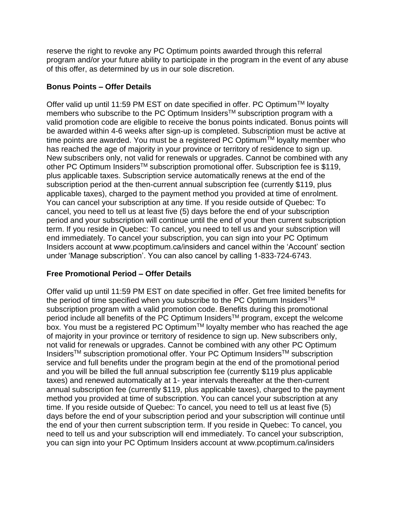reserve the right to revoke any PC Optimum points awarded through this referral program and/or your future ability to participate in the program in the event of any abuse of this offer, as determined by us in our sole discretion.

## **Bonus Points – Offer Details**

Offer valid up until 11:59 PM EST on date specified in offer. PC Optimum<sup>™</sup> loyalty members who subscribe to the PC Optimum Insiders<sup>™</sup> subscription program with a valid promotion code are eligible to receive the bonus points indicated. Bonus points will be awarded within 4-6 weeks after sign-up is completed. Subscription must be active at time points are awarded. You must be a registered PC Optimum™ loyalty member who has reached the age of majority in your province or territory of residence to sign up. New subscribers only, not valid for renewals or upgrades. Cannot be combined with any other PC Optimum Insiders<sup>™</sup> subscription promotional offer. Subscription fee is \$119, plus applicable taxes. Subscription service automatically renews at the end of the subscription period at the then-current annual subscription fee (currently \$119, plus applicable taxes), charged to the payment method you provided at time of enrolment. You can cancel your subscription at any time. If you reside outside of Quebec: To cancel, you need to tell us at least five (5) days before the end of your subscription period and your subscription will continue until the end of your then current subscription term. If you reside in Quebec: To cancel, you need to tell us and your subscription will end immediately. To cancel your subscription, you can sign into your PC Optimum Insiders account at www.pcoptimum.ca/insiders and cancel within the 'Account' section under 'Manage subscription'. You can also cancel by calling 1-833-724-6743.

## **Free Promotional Period – Offer Details**

Offer valid up until 11:59 PM EST on date specified in offer. Get free limited benefits for the period of time specified when you subscribe to the PC Optimum Insiders<sup>TM</sup> subscription program with a valid promotion code. Benefits during this promotional period include all benefits of the PC Optimum Insiders<sup>™</sup> program, except the welcome box. You must be a registered PC Optimum<sup>™</sup> loyalty member who has reached the age of majority in your province or territory of residence to sign up. New subscribers only, not valid for renewals or upgrades. Cannot be combined with any other PC Optimum InsidersTM subscription promotional offer. Your PC Optimum InsidersTM subscription service and full benefits under the program begin at the end of the promotional period and you will be billed the full annual subscription fee (currently \$119 plus applicable taxes) and renewed automatically at 1- year intervals thereafter at the then-current annual subscription fee (currently \$119, plus applicable taxes), charged to the payment method you provided at time of subscription. You can cancel your subscription at any time. If you reside outside of Quebec: To cancel, you need to tell us at least five (5) days before the end of your subscription period and your subscription will continue until the end of your then current subscription term. If you reside in Quebec: To cancel, you need to tell us and your subscription will end immediately. To cancel your subscription, you can sign into your PC Optimum Insiders account at www.pcoptimum.ca/insiders